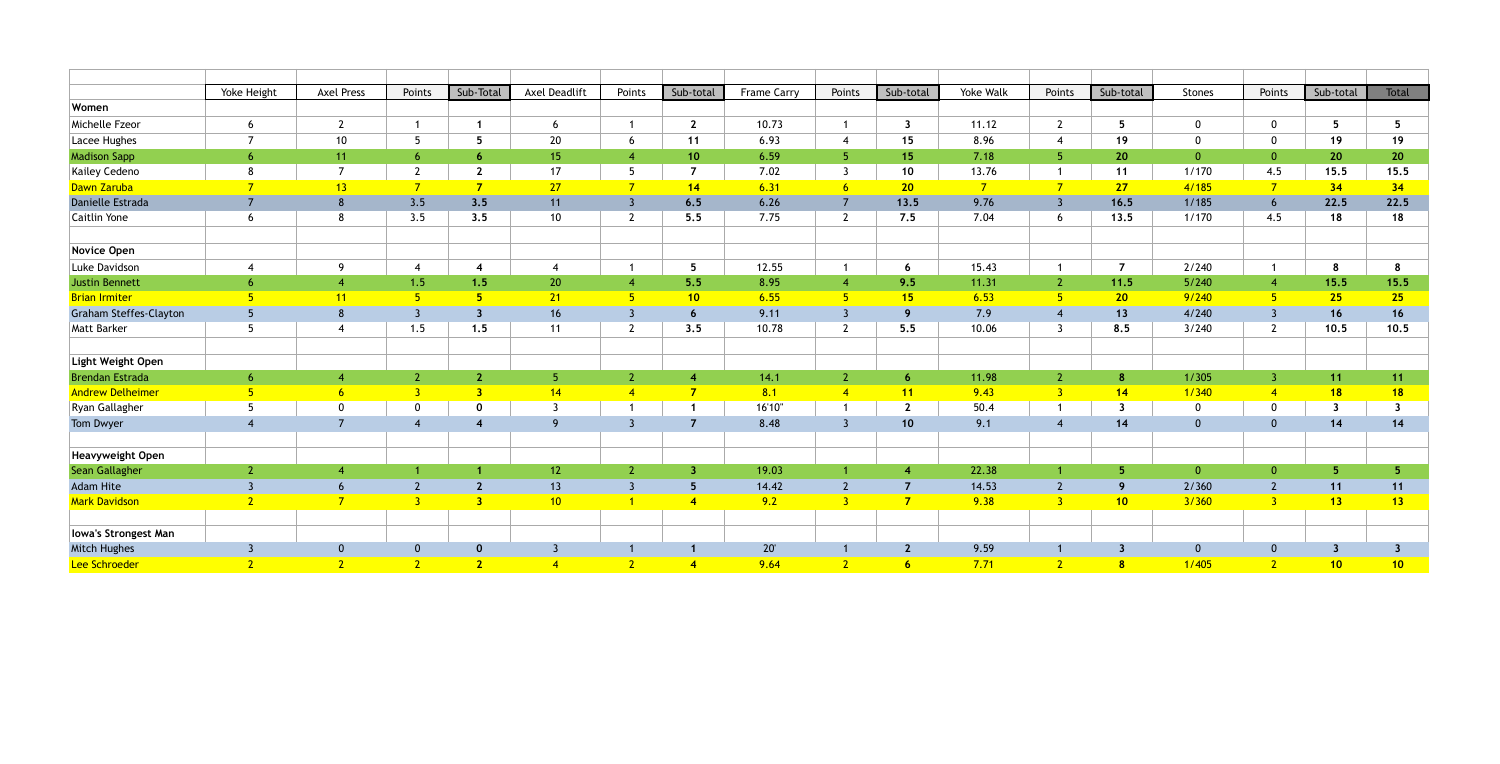|                               | Yoke Height     | <b>Axel Press</b> | Points               | Sub-Total               | <b>Axel Deadlift</b> | Points               | Sub-total               | <b>Frame Carry</b> | Points         | Sub-total               | Yoke Walk      | Points                  | Sub-total               | Stones         | Points          | Sub-total               | Total                   |
|-------------------------------|-----------------|-------------------|----------------------|-------------------------|----------------------|----------------------|-------------------------|--------------------|----------------|-------------------------|----------------|-------------------------|-------------------------|----------------|-----------------|-------------------------|-------------------------|
| Women                         |                 |                   |                      |                         |                      |                      |                         |                    |                |                         |                |                         |                         |                |                 |                         |                         |
| Michelle Fzeor                | 6               | $\overline{2}$    | $\blacktriangleleft$ | $\overline{\mathbf{1}}$ | $6\overline{6}$      | $\blacktriangleleft$ | $\overline{2}$          | 10.73              | $\overline{1}$ | $\mathbf{3}$            | 11.12          | $\overline{2}$          | -5.                     | $\mathbf{0}$   | $\mathbf 0$     | $5\phantom{1}$          | 5 <sub>1</sub>          |
| Lacee Hughes                  | $\overline{7}$  | 10 <sup>1</sup>   | 5 <sup>5</sup>       | $5\phantom{1}$          | 20                   | 6                    | 11                      | 6.93               | $\overline{4}$ | 15                      | 8.96           | $\overline{4}$          | 19                      | $\mathbf{0}$   | $\bf{0}$        | 19                      | 19                      |
| <b>Madison Sapp</b>           | 6 <sup>1</sup>  | 11 <sub>1</sub>   | $6\phantom{1}6$      | $6\phantom{1}6$         | 15                   | $\overline{4}$       | 10 <sub>1</sub>         | 6.59               | 5 <sub>5</sub> | 15 <sub>1</sub>         | 7.18           | 5 <sub>1</sub>          | 20                      | $\mathbf{0}$   | $\overline{0}$  | 20                      | 20                      |
| Kailey Cedeno                 | 8               | $\overline{7}$    | $\overline{2}$       | $\overline{2}$          | 17                   | 5                    | $\overline{\mathbf{7}}$ | 7.02               | $\overline{3}$ | 10                      | 13.76          | $\overline{1}$          | 11                      | 1/170          | 4.5             | 15.5                    | 15.5                    |
| Dawn Zaruba                   | 7 <sup>1</sup>  | 13                | $7^{\circ}$          | $\overline{7}$          | 27                   | $\overline{7}$       | 14                      | 6.31               | 6 <sup>1</sup> | 20                      | 7 <sup>7</sup> | $\overline{7}$          | 27                      | 4/185          | 7 <sup>7</sup>  | 34                      | 34                      |
| Danielle Estrada              | $\overline{7}$  | 8                 | 3.5                  | 3.5                     | 11                   | 3                    | 6.5                     | 6.26               | $\overline{7}$ | 13.5                    | 9.76           | $\overline{\mathbf{3}}$ | 16.5                    | 1/185          | $6\overline{6}$ | 22.5                    | 22.5                    |
| Caitlin Yone                  | 6               | 8                 | 3.5                  | 3.5                     | 10                   | $\overline{2}$       | 5.5                     | 7.75               | $\overline{2}$ | 7.5                     | 7.04           | 6                       | 13.5                    | 1/170          | 4.5             | 18                      | 18                      |
|                               |                 |                   |                      |                         |                      |                      |                         |                    |                |                         |                |                         |                         |                |                 |                         |                         |
| Novice Open                   |                 |                   |                      |                         |                      |                      |                         |                    |                |                         |                |                         |                         |                |                 |                         |                         |
| Luke Davidson                 | $\overline{4}$  | 9                 | $\overline{4}$       | $\overline{\mathbf{4}}$ | $\overline{4}$       |                      | 5                       | 12.55              | $\mathbf{1}$   | $6\overline{6}$         | 15.43          | $\mathbf{1}$            | $\overline{7}$          | 2/240          | $\overline{1}$  | 8                       | 8                       |
| <b>Justin Bennett</b>         | 6 <sup>1</sup>  | $\overline{4}$    | 1.5                  | 1.5                     | 20                   | $\overline{4}$       | 5.5                     | 8.95               | $\overline{4}$ | 9.5                     | 11.31          | $\overline{2}$          | 11.5                    | 5/240          | $\overline{4}$  | 15.5                    | 15.5                    |
| <b>Brian Irmiter</b>          | $5\overline{)}$ | 11                | 5 <sub>o</sub>       | 5 <sub>5</sub>          | 21                   | 5 <sub>5</sub>       | 10                      | 6.55               | 5 <sub>5</sub> | 15                      | 6.53           | $-5$                    | 20                      | 9/240          | 5 <sub>1</sub>  | 25                      | 25                      |
| <b>Graham Steffes-Clayton</b> | 5 <sub>1</sub>  | 8 <sup>°</sup>    | 3 <sup>1</sup>       | $\overline{\mathbf{3}}$ | 16                   | $\overline{3}$       | $6\overline{6}$         | 9.11               | $\overline{3}$ | 9 <sup>°</sup>          | 7.9            | $\overline{4}$          | 13                      | 4/240          | 3 <sup>1</sup>  | 16                      | 16                      |
| Matt Barker                   | $5\phantom{.}$  | 4                 | 1.5                  | 1.5                     | 11                   | $\overline{2}$       | 3.5                     | 10.78              | $\overline{2}$ | 5.5                     | 10.06          | $\overline{3}$          | 8.5                     | $3/240$        | $\overline{2}$  | 10.5                    | 10.5                    |
|                               |                 |                   |                      |                         |                      |                      |                         |                    |                |                         |                |                         |                         |                |                 |                         |                         |
| Light Weight Open             |                 |                   |                      |                         |                      |                      |                         |                    |                |                         |                |                         |                         |                |                 |                         |                         |
| <b>Brendan Estrada</b>        | 6 <sup>1</sup>  | $\overline{4}$    | $\overline{2}$       | 2 <sup>2</sup>          | 5 <sub>1</sub>       | 2 <sup>7</sup>       | $\overline{4}$          | 14.1               | $\overline{2}$ | 6 <sup>1</sup>          | 11.98          | $\overline{2}$          | 8 <sup>1</sup>          | 1/305          | 3 <sup>7</sup>  | 11                      | 11                      |
| <b>Andrew Delheimer</b>       | $5\overline{)}$ | 6 <sup>1</sup>    | $\overline{3}$       | $\overline{\mathbf{3}}$ | 14                   | $\overline{4}$       | $\overline{7}$          | 8.1                | $\overline{4}$ | 11                      | 9.43           | $\overline{\mathbf{3}}$ | 14                      | 1/340          | $\overline{4}$  | 18                      | 18                      |
| Ryan Gallagher                | $5\overline{)}$ | 0                 | $\mathbf 0$          | $\mathbf 0$             | $\overline{3}$       |                      | $\overline{\mathbf{1}}$ | 16'10"             | $\overline{1}$ | $\overline{2}$          | 50.4           | $\overline{1}$          | $\overline{\mathbf{3}}$ | $\mathbf{0}$   | $\mathbf{0}$    | $\overline{\mathbf{3}}$ | $\overline{\mathbf{3}}$ |
| Tom Dwyer                     | $\overline{4}$  | $\overline{7}$    | $\overline{4}$       | $\overline{4}$          | 9                    | $\overline{3}$       | $\overline{7}$          | 8.48               | $\overline{3}$ | 10                      | 9.1            | $\overline{4}$          | 14                      | $\overline{0}$ | $\overline{0}$  | 14                      | 14                      |
| Heavyweight Open              |                 |                   |                      |                         |                      |                      |                         |                    |                |                         |                |                         |                         |                |                 |                         |                         |
| <b>Sean Gallagher</b>         | $\overline{2}$  | $\overline{4}$    | $\overline{1}$       | $\overline{1}$          | 12                   | $\overline{2}$       | $\overline{\mathbf{3}}$ | 19.03              | $\overline{1}$ | $\overline{\mathbf{4}}$ | 22.38          | $\mathbf{1}$            | 5 <sub>1</sub>          | $\overline{0}$ | $\overline{0}$  | 5 <sub>1</sub>          | 5 <sub>1</sub>          |
| <b>Adam Hite</b>              | $\overline{3}$  | $6\overline{6}$   | $\overline{2}$       | $\overline{2}$          | 13                   | $\overline{3}$       | 5 <sub>5</sub>          | 14.42              | $\overline{2}$ | $\overline{7}$          | 14.53          | $\overline{2}$          | 9                       | 2/360          | $\overline{2}$  | $11$                    | 11                      |
| <b>Mark Davidson</b>          | 2 <sup>2</sup>  | 7 <sup>7</sup>    | 3 <sup>°</sup>       | $\overline{\mathbf{3}}$ | 10                   | $\overline{1}$       | $\overline{4}$          | 9.2                | $\overline{3}$ | $\overline{7}$          | 9.38           | $\overline{3}$          | 10                      | 3/360          | 3 <sup>°</sup>  | 13                      | 13                      |
|                               |                 |                   |                      |                         |                      |                      |                         |                    |                |                         |                |                         |                         |                |                 |                         |                         |
| lowa's Strongest Man          |                 |                   |                      |                         |                      |                      |                         |                    |                |                         |                |                         |                         |                |                 |                         |                         |
| <b>Mitch Hughes</b>           | $\overline{3}$  | $\overline{0}$    | $\overline{0}$       | $\mathbf{0}$            | $\overline{3}$       | $\mathbf{1}$         | $\mathbf{1}$            | $20^{\circ}$       | $\overline{1}$ | 2 <sup>2</sup>          | 9.59           | $\mathbf{1}$            | $\overline{3}$          | $\mathbf{0}$   | $\overline{0}$  | $\overline{\mathbf{3}}$ | 3 <sup>1</sup>          |
| Lee Schroeder                 |                 | $\overline{2}$    | $\overline{2}$       | $\overline{2}$          | -4                   | $\overline{2}$       | $\blacktriangleleft$    | 9.64               | $\overline{2}$ | 6                       | 7.71           | $\overline{2}$          |                         | 1/405          | $\overline{2}$  | 10                      | 10 <sub>1</sub>         |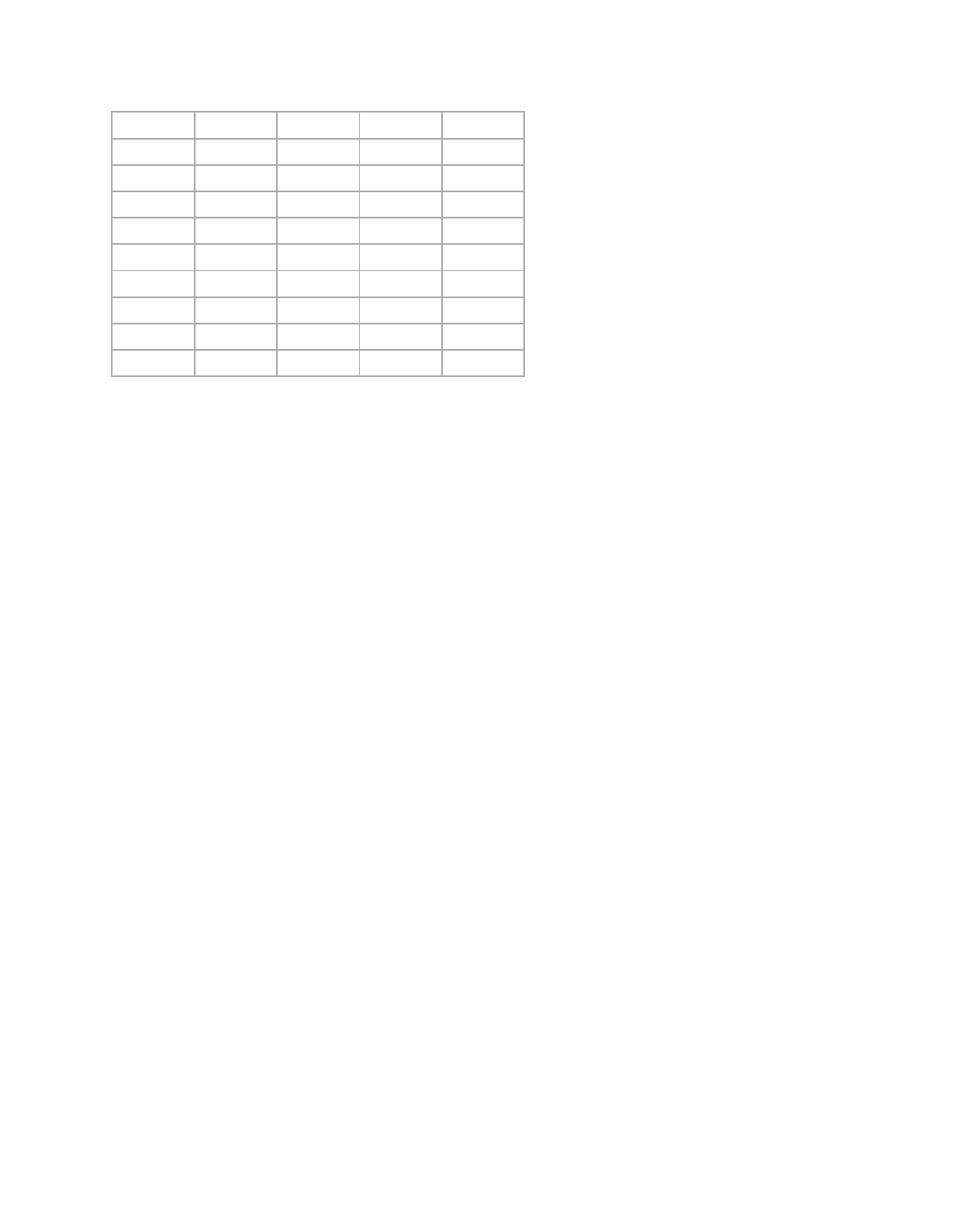|                                                             | the control of the control of the control of the control of                               | the control of the control of the control of the control of the control of                                      | the control of the control of the control of the control of |  |
|-------------------------------------------------------------|-------------------------------------------------------------------------------------------|-----------------------------------------------------------------------------------------------------------------|-------------------------------------------------------------|--|
|                                                             |                                                                                           |                                                                                                                 |                                                             |  |
| the control of the control of the control of the control of | the control of the control of the control of the control of the control of the control of | the control of the control of the control of the control of the control of                                      | the control of the control of the control of                |  |
|                                                             |                                                                                           | <u> 1989 - Andrea Stadt Britain, amerikansk fotballstva i sve</u>                                               |                                                             |  |
|                                                             |                                                                                           | the contract of the contract of the contract of the contract of the contract of the contract of the contract of |                                                             |  |
|                                                             |                                                                                           | the control of the control of the control of the control of the control of                                      |                                                             |  |
|                                                             |                                                                                           |                                                                                                                 |                                                             |  |
|                                                             | the control of the control of the control of the control of                               | the control of the control of the control of the control of                                                     | the control of the control of the control of                |  |